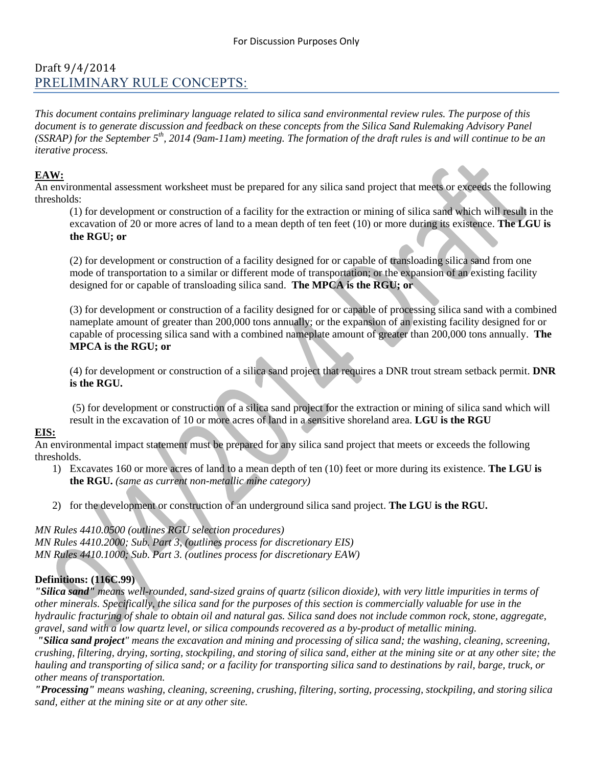# Draft 9/4/2014 PRELIMINARY RULE CONCEPTS:

*This document contains preliminary language related to silica sand environmental review rules. The purpose of this document is to generate discussion and feedback on these concepts from the Silica Sand Rulemaking Advisory Panel (SSRAP) for the September 5th, 2014 (9am-11am) meeting. The formation of the draft rules is and will continue to be an iterative process.* 

## **EAW:**

An environmental assessment worksheet must be prepared for any silica sand project that meets or exceeds the following thresholds:

(1) for development or construction of a facility for the extraction or mining of silica sand which will result in the excavation of 20 or more acres of land to a mean depth of ten feet (10) or more during its existence. **The LGU is the RGU; or**

(2) for development or construction of a facility designed for or capable of transloading silica sand from one mode of transportation to a similar or different mode of transportation; or the expansion of an existing facility designed for or capable of transloading silica sand. **The MPCA is the RGU; or**

(3) for development or construction of a facility designed for or capable of processing silica sand with a combined nameplate amount of greater than 200,000 tons annually; or the expansion of an existing facility designed for or capable of processing silica sand with a combined nameplate amount of greater than 200,000 tons annually. **The MPCA is the RGU; or**

(4) for development or construction of a silica sand project that requires a DNR trout stream setback permit. **DNR is the RGU.**

(5) for development or construction of a silica sand project for the extraction or mining of silica sand which will result in the excavation of 10 or more acres of land in a sensitive shoreland area. **LGU is the RGU**

### **EIS:**

An environmental impact statement must be prepared for any silica sand project that meets or exceeds the following thresholds.

- 1) Excavates 160 or more acres of land to a mean depth of ten (10) feet or more during its existence. **The LGU is the RGU.** *(same as current non-metallic mine category)*
- 2) for the development or construction of an underground silica sand project. **The LGU is the RGU.**

*MN Rules 4410.0500 (outlines RGU selection procedures) MN Rules 4410.2000; Sub. Part 3, (outlines process for discretionary EIS) MN Rules 4410.1000; Sub. Part 3. (outlines process for discretionary EAW)*

### **Definitions: (116C.99)**

*"Silica sand" means well-rounded, sand-sized grains of quartz (silicon dioxide), with very little impurities in terms of other minerals. Specifically, the silica sand for the purposes of this section is commercially valuable for use in the hydraulic fracturing of shale to obtain oil and natural gas. Silica sand does not include common rock, stone, aggregate, gravel, sand with a low quartz level, or silica compounds recovered as a by-product of metallic mining.*

*"Silica sand project" means the excavation and mining and processing of silica sand; the washing, cleaning, screening, crushing, filtering, drying, sorting, stockpiling, and storing of silica sand, either at the mining site or at any other site; the hauling and transporting of silica sand; or a facility for transporting silica sand to destinations by rail, barge, truck, or other means of transportation.*

*"Processing" means washing, cleaning, screening, crushing, filtering, sorting, processing, stockpiling, and storing silica sand, either at the mining site or at any other site.*